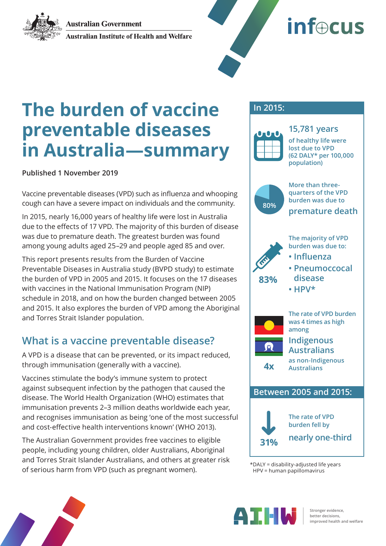**Australian Government** 



**Australian Institute of Health and Welfare** 



# **The burden of vaccine preventable diseases in Australia—summary**

**Published 1 November 2019**

Vaccine preventable diseases (VPD) such as influenza and whooping cough can have a severe impact on individuals and the community.

In 2015, nearly 16,000 years of healthy life were lost in Australia due to the effects of 17 VPD. The majority of this burden of disease was due to premature death. The greatest burden was found among young adults aged 25–29 and people aged 85 and over.

This report presents results from the Burden of Vaccine Preventable Diseases in Australia study (BVPD study) to estimate the burden of VPD in 2005 and 2015. It focuses on the 17 diseases with vaccines in the National Immunisation Program (NIP) schedule in 2018, and on how the burden changed between 2005 and 2015. It also explores the burden of VPD among the Aboriginal and Torres Strait Islander population.

### **What is a vaccine preventable disease?**

A VPD is a disease that can be prevented, or its impact reduced, through immunisation (generally with a vaccine).

Vaccines stimulate the body's immune system to protect against subsequent infection by the pathogen that caused the disease. The World Health Organization (WHO) estimates that immunisation prevents 2–3 million deaths worldwide each year, and recognises immunisation as being 'one of the most successful and cost-effective health interventions known' (WHO 2013).

The Australian Government provides free vaccines to eligible people, including young children, older Australians, Aboriginal and Torres Strait Islander Australians, and others at greater risk of serious harm from VPD (such as pregnant women).<br>  $\text{PP} = \text{disability-adjusted life years}$ <br>  $\text{PP} = \text{human quality-adjusted life years}$ 

### **In 2015:**



**15,781 years of healthy life were lost due to VPD (62 DALY\* per 100,000 population)**



**More than threequarters of the VPD burden was due to premature death 80%**





**The rate of VPD burden fell by nearly one-third 31%**

HPV = human papillomavirus



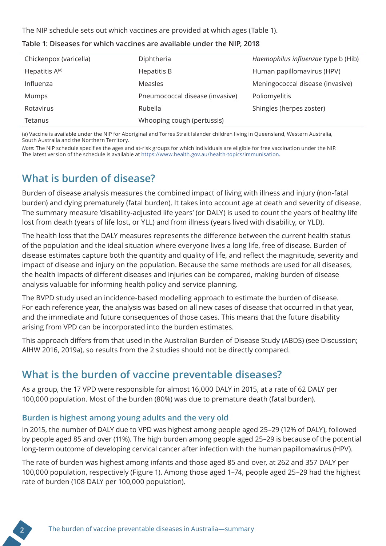The NIP schedule sets out which vaccines are provided at which ages (Table 1).

| Chickenpox (varicella) | Diphtheria                      | Haemophilus influenzae type b (Hib) |
|------------------------|---------------------------------|-------------------------------------|
| Hepatitis $A^{(a)}$    | Hepatitis B                     | Human papillomavirus (HPV)          |
| Influenza              | Measles                         | Meningococcal disease (invasive)    |
| Mumps                  | Pneumococcal disease (invasive) | Poliomyelitis                       |
| Rotavirus              | Rubella                         | Shingles (herpes zoster)            |
| Tetanus                | Whooping cough (pertussis)      |                                     |

**Table 1: Diseases for which vaccines are available under the NIP, 2018**

(a) Vaccine is available under the NIP for Aboriginal and Torres Strait Islander children living in Queensland, Western Australia, South Australia and the Northern Territory.

*Note:* The NIP schedule specifies the ages and at-risk groups for which individuals are eligible for free vaccination under the NIP. The latest version of the schedule is available at https://www.health.gov.au/health-topics/immunisation.

# **What is burden of disease?**

Burden of disease analysis measures the combined impact of living with illness and injury (non-fatal burden) and dying prematurely (fatal burden). It takes into account age at death and severity of disease. The summary measure 'disability-adjusted life years' (or DALY) is used to count the years of healthy life lost from death (years of life lost, or YLL) and from illness (years lived with disability, or YLD).

The health loss that the DALY measures represents the difference between the current health status of the population and the ideal situation where everyone lives a long life, free of disease. Burden of disease estimates capture both the quantity and quality of life, and reflect the magnitude, severity and impact of disease and injury on the population. Because the same methods are used for all diseases, the health impacts of different diseases and injuries can be compared, making burden of disease analysis valuable for informing health policy and service planning.

The BVPD study used an incidence-based modelling approach to estimate the burden of disease. For each reference year, the analysis was based on all new cases of disease that occurred in that year, and the immediate and future consequences of those cases. This means that the future disability arising from VPD can be incorporated into the burden estimates.

This approach differs from that used in the Australian Burden of Disease Study (ABDS) (see Discussion; AIHW 2016, 2019a), so results from the 2 studies should not be directly compared.

# **What is the burden of vaccine preventable diseases?**

As a group, the 17 VPD were responsible for almost 16,000 DALY in 2015, at a rate of 62 DALY per 100,000 population. Most of the burden (80%) was due to premature death (fatal burden).

### **Burden is highest among young adults and the very old**

In 2015, the number of DALY due to VPD was highest among people aged 25–29 (12% of DALY), followed by people aged 85 and over (11%). The high burden among people aged 25–29 is because of the potential long-term outcome of developing cervical cancer after infection with the human papillomavirus (HPV).

The rate of burden was highest among infants and those aged 85 and over, at 262 and 357 DALY per 100,000 population, respectively (Figure 1). Among those aged 1–74, people aged 25–29 had the highest rate of burden (108 DALY per 100,000 population).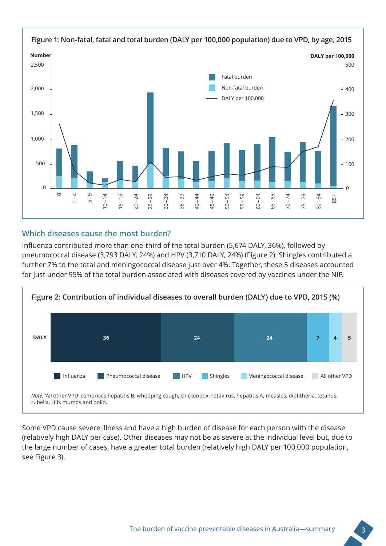

#### **Which diseases cause the most burden?**

Influenza contributed more than one-third of the total burden (5,674 DALY, 36%), followed by pneumococcal disease (3,793 DALY, 24%) and HPV (3,710 DALY, 24%) (Figure 2). Shingles contributed a further 7% to the total and meningococcal disease just over 4%. Together, these 5 diseases accounted for just under 95% of the total burden associated with diseases covered by vaccines under the NIP.



Some VPD cause severe illness and have a high burden of disease for each person with the disease (relatively high DALY per case). Other diseases may not be as severe at the individual level but, due to the large number of cases, have a greater total burden (relatively high DALY per 100,000 population, see Figure 3).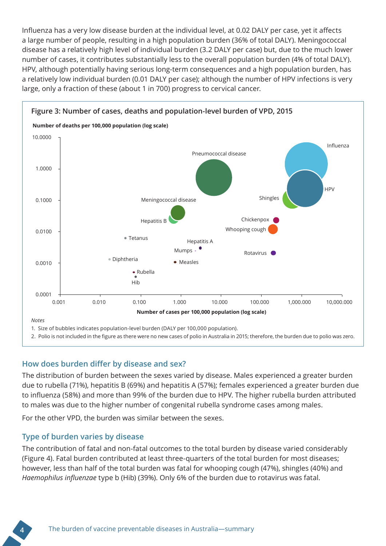Influenza has a very low disease burden at the individual level, at 0.02 DALY per case, yet it affects a large number of people, resulting in a high population burden (36% of total DALY). Meningococcal disease has a relatively high level of individual burden (3.2 DALY per case) but, due to the much lower number of cases, it contributes substantially less to the overall population burden (4% of total DALY). HPV, although potentially having serious long-term consequences and a high population burden, has a relatively low individual burden (0.01 DALY per case); although the number of HPV infections is very large, only a fraction of these (about 1 in 700) progress to cervical cancer.



2. Polio is not included in the figure as there were no new cases of polio in Australia in 2015; therefore, the burden due to polio was zero.

#### **How does burden differ by disease and sex?**

The distribution of burden between the sexes varied by disease. Males experienced a greater burden due to rubella (71%), hepatitis B (69%) and hepatitis A (57%); females experienced a greater burden due to influenza (58%) and more than 99% of the burden due to HPV. The higher rubella burden attributed to males was due to the higher number of congenital rubella syndrome cases among males.

For the other VPD, the burden was similar between the sexes.

#### **Type of burden varies by disease**

The contribution of fatal and non-fatal outcomes to the total burden by disease varied considerably (Figure 4). Fatal burden contributed at least three-quarters of the total burden for most diseases; however, less than half of the total burden was fatal for whooping cough (47%), shingles (40%) and *Haemophilus influenzae* type b (Hib) (39%). Only 6% of the burden due to rotavirus was fatal.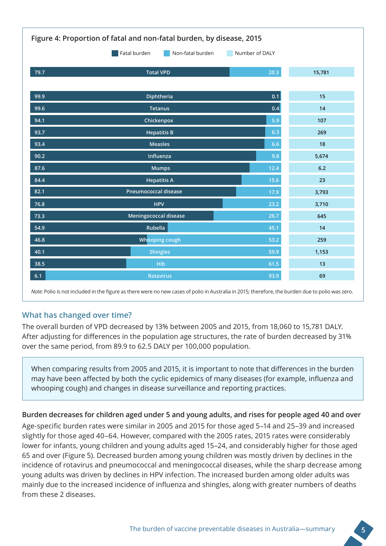| Figure 4: Proportion of fatal and non-fatal burden, by disease, 2015 |                              |      |        |  |
|----------------------------------------------------------------------|------------------------------|------|--------|--|
| Fatal burden<br>Non-fatal burden<br>Number of DALY                   |                              |      |        |  |
| 79.7                                                                 | <b>Total VPD</b>             | 20.3 | 15,781 |  |
|                                                                      |                              |      |        |  |
| 99.9                                                                 | Diphtheria                   | 0.1  | 15     |  |
| 99.6                                                                 | <b>Tetanus</b>               | 0.4  | 14     |  |
| 94.1                                                                 | Chickenpox                   | 5.9  | 107    |  |
| 93.7                                                                 | <b>Hepatitis B</b>           | 6.3  | 269    |  |
| 93.4                                                                 | <b>Measles</b>               | 6.6  | 18     |  |
| 90.2                                                                 | Influenza                    |      | 5,674  |  |
| 87.6                                                                 | <b>Mumps</b>                 |      | $6.2$  |  |
| 84.4                                                                 | <b>Hepatitis A</b>           |      | 23     |  |
| 82.1                                                                 | <b>Pneumococcal disease</b>  |      | 3,793  |  |
| 76.8                                                                 | <b>HPV</b>                   |      | 3,710  |  |
| 73.3                                                                 | <b>Meningococcal disease</b> |      | 645    |  |
| 54.9                                                                 | Rubella                      |      | 14     |  |
| 46.8                                                                 | Whooping cough               |      | 259    |  |
| 40.1                                                                 | <b>Shingles</b>              |      | 1,153  |  |
| 38.5                                                                 | Hib                          |      | 13     |  |
| 6.1                                                                  | <b>Rotavirus</b>             |      | 69     |  |

*Note:* Polio is not included in the figure as there were no new cases of polio in Australia in 2015; therefore, the burden due to polio was zero.

### **What has changed over time?**

The overall burden of VPD decreased by 13% between 2005 and 2015, from 18,060 to 15,781 DALY. After adjusting for differences in the population age structures, the rate of burden decreased by 31% over the same period, from 89.9 to 62.5 DALY per 100,000 population.

When comparing results from 2005 and 2015, it is important to note that differences in the burden may have been affected by both the cyclic epidemics of many diseases (for example, influenza and whooping cough) and changes in disease surveillance and reporting practices.

#### **Burden decreases for children aged under 5 and young adults, and rises for people aged 40 and over**

Age-specific burden rates were similar in 2005 and 2015 for those aged 5–14 and 25–39 and increased slightly for those aged 40–64. However, compared with the 2005 rates, 2015 rates were considerably lower for infants, young children and young adults aged 15–24, and considerably higher for those aged 65 and over (Figure 5). Decreased burden among young children was mostly driven by declines in the incidence of rotavirus and pneumococcal and meningococcal diseases, while the sharp decrease among young adults was driven by declines in HPV infection. The increased burden among older adults was mainly due to the increased incidence of influenza and shingles, along with greater numbers of deaths from these 2 diseases.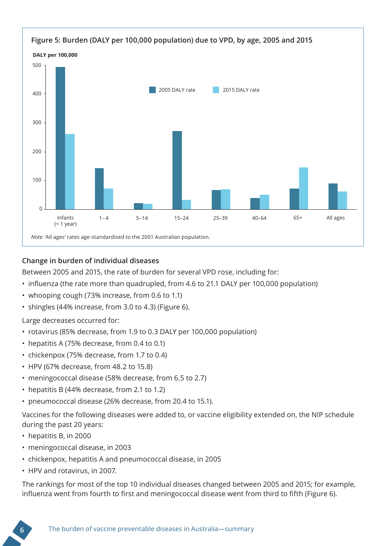

#### **Change in burden of individual diseases**

Between 2005 and 2015, the rate of burden for several VPD rose, including for:

- influenza (the rate more than quadrupled, from 4.6 to 21.1 DALY per 100,000 population)
- whooping cough (73% increase, from 0.6 to 1.1)
- shingles (44% increase, from 3.0 to 4.3) (Figure 6).

Large decreases occurred for:

- rotavirus (85% decrease, from 1.9 to 0.3 DALY per 100,000 population)
- hepatitis A (75% decrease, from 0.4 to 0.1)
- chickenpox (75% decrease, from 1.7 to 0.4)
- HPV (67% decrease, from 48.2 to 15.8)
- meningococcal disease (58% decrease, from 6.5 to 2.7)
- hepatitis B (44% decrease, from 2.1 to 1.2)
- pneumococcal disease (26% decrease, from 20.4 to 15.1).

Vaccines for the following diseases were added to, or vaccine eligibility extended on, the NIP schedule during the past 20 years:

- hepatitis B, in 2000
- meningococcal disease, in 2003
- chickenpox, hepatitis A and pneumococcal disease, in 2005
- HPV and rotavirus, in 2007.

The rankings for most of the top 10 individual diseases changed between 2005 and 2015; for example, influenza went from fourth to first and meningococcal disease went from third to fifth (Figure 6).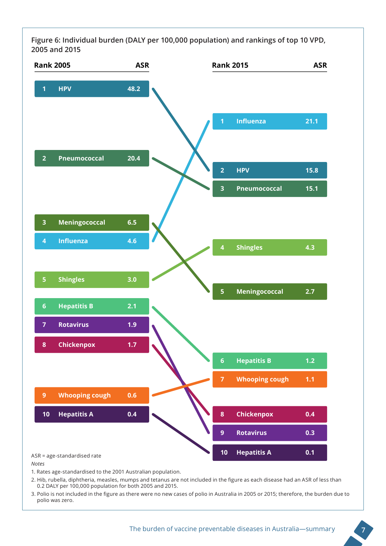**Figure 6: Individual burden (DALY per 100,000 population) and rankings of top 10 VPD, 2005 and 2015** 



*Notes*

1. Rates age-standardised to the 2001 Australian population.

2. Hib, rubella, diphtheria, measles, mumps and tetanus are not included in the figure as each disease had an ASR of less than 0.2 DALY per 100,000 population for both 2005 and 2015.

3. Polio is not included in the figure as there were no new cases of polio in Australia in 2005 or 2015; therefore, the burden due to polio was zero.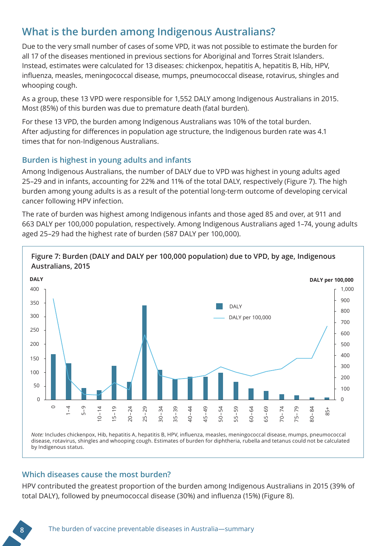# **What is the burden among Indigenous Australians?**

Due to the very small number of cases of some VPD, it was not possible to estimate the burden for all 17 of the diseases mentioned in previous sections for Aboriginal and Torres Strait Islanders. Instead, estimates were calculated for 13 diseases: chickenpox, hepatitis A, hepatitis B, Hib, HPV, influenza, measles, meningococcal disease, mumps, pneumococcal disease, rotavirus, shingles and whooping cough.

As a group, these 13 VPD were responsible for 1,552 DALY among Indigenous Australians in 2015. Most (85%) of this burden was due to premature death (fatal burden).

For these 13 VPD, the burden among Indigenous Australians was 10% of the total burden. After adjusting for differences in population age structure, the Indigenous burden rate was 4.1 times that for non-Indigenous Australians.

#### **Burden is highest in young adults and infants**

Among Indigenous Australians, the number of DALY due to VPD was highest in young adults aged 25–29 and in infants, accounting for 22% and 11% of the total DALY, respectively (Figure 7). The high burden among young adults is as a result of the potential long-term outcome of developing cervical cancer following HPV infection.

The rate of burden was highest among Indigenous infants and those aged 85 and over, at 911 and 663 DALY per 100,000 population, respectively. Among Indigenous Australians aged 1–74, young adults aged 25–29 had the highest rate of burden (587 DALY per 100,000).



*Note:* Includes chickenpox, Hib, hepatitis A, hepatitis B, HPV, influenza, measles, meningococcal disease, mumps, pneumococcal disease, rotavirus, shingles and whooping cough. Estimates of burden for diphtheria, rubella and tetanus could not be calculated by Indigenous status.

#### **Which diseases cause the most burden?**

HPV contributed the greatest proportion of the burden among Indigenous Australians in 2015 (39% of total DALY), followed by pneumococcal disease (30%) and influenza (15%) (Figure 8).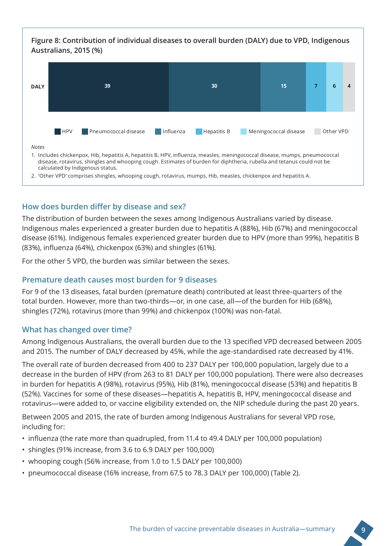

#### **How does burden differ by disease and sex?**

The distribution of burden between the sexes among Indigenous Australians varied by disease. Indigenous males experienced a greater burden due to hepatitis A (88%), Hib (67%) and meningococcal disease (61%). Indigenous females experienced greater burden due to HPV (more than 99%), hepatitis B (83%), influenza (64%), chickenpox (63%) and shingles (61%).

For the other 5 VPD, the burden was similar between the sexes.

#### **Premature death causes most burden for 9 diseases**

For 9 of the 13 diseases, fatal burden (premature death) contributed at least three-quarters of the total burden. However, more than two-thirds—or, in one case, all—of the burden for Hib (68%), shingles (72%), rotavirus (more than 99%) and chickenpox (100%) was non-fatal.

#### **What has changed over time?**

Among Indigenous Australians, the overall burden due to the 13 specified VPD decreased between 2005 and 2015. The number of DALY decreased by 45%, while the age-standardised rate decreased by 41%.

The overall rate of burden decreased from 400 to 237 DALY per 100,000 population, largely due to a decrease in the burden of HPV (from 263 to 81 DALY per 100,000 population). There were also decreases in burden for hepatitis A (98%), rotavirus (95%), Hib (81%), meningococcal disease (53%) and hepatitis B (52%). Vaccines for some of these diseases—hepatitis A, hepatitis B, HPV, meningococcal disease and rotavirus—were added to, or vaccine eligibility extended on, the NIP schedule during the past 20 years.

Between 2005 and 2015, the rate of burden among Indigenous Australians for several VPD rose, including for:

- influenza (the rate more than quadrupled, from 11.4 to 49.4 DALY per 100,000 population)
- shingles (91% increase, from 3.6 to 6.9 DALY per 100,000)
- whooping cough (56% increase, from 1.0 to 1.5 DALY per 100,000)
- pneumococcal disease (16% increase, from 67.5 to 78.3 DALY per 100,000) (Table 2).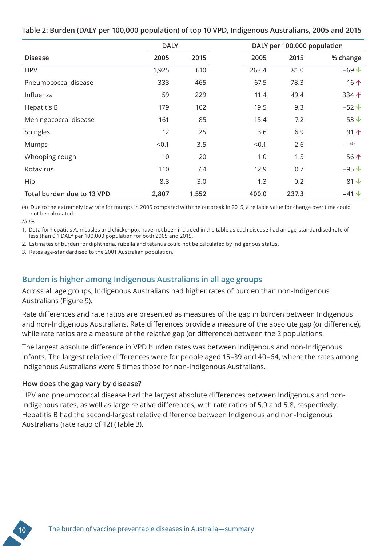#### **Table 2: Burden (DALY per 100,000 population) of top 10 VPD, Indigenous Australians, 2005 and 2015**

|                            | <b>DALY</b> |       |       | DALY per 100,000 population |                |
|----------------------------|-------------|-------|-------|-----------------------------|----------------|
| <b>Disease</b>             | 2005        | 2015  | 2005  | 2015                        | % change       |
| <b>HPV</b>                 | 1,925       | 610   | 263.4 | 81.0                        | $-69$ $\vee$   |
| Pneumococcal disease       | 333         | 465   | 67.5  | 78.3                        | 16 $\uparrow$  |
| Influenza                  | 59          | 229   | 11.4  | 49.4                        | 334个           |
| <b>Hepatitis B</b>         | 179         | 102   | 19.5  | 9.3                         | $-52 +$        |
| Meningococcal disease      | 161         | 85    | 15.4  | 7.2                         | $-53 \n\vee$   |
| Shingles                   | 12          | 25    | 3.6   | 6.9                         | 91个            |
| Mumps                      | < 0.1       | 3.5   | < 0.1 | 2.6                         | (a)            |
| Whooping cough             | 10          | 20    | 1.0   | 1.5                         | 56个            |
| Rotavirus                  | 110         | 7.4   | 12.9  | 0.7                         | $-95 \text{V}$ |
| Hib                        | 8.3         | 3.0   | 1.3   | 0.2                         | $-81 \sqrt$    |
| Total burden due to 13 VPD | 2,807       | 1,552 | 400.0 | 237.3                       | $-41 \vee$     |

(a) Due to the extremely low rate for mumps in 2005 compared with the outbreak in 2015, a reliable value for change over time could not be calculated.

*Notes* 

1. Data for hepatitis A, measles and chickenpox have not been included in the table as each disease had an age-standardised rate of less than 0.1 DALY per 100,000 population for both 2005 and 2015.

2. Estimates of burden for diphtheria, rubella and tetanus could not be calculated by Indigenous status.

3. Rates age-standardised to the 2001 Australian population.

### **Burden is higher among Indigenous Australians in all age groups**

Across all age groups, Indigenous Australians had higher rates of burden than non-Indigenous Australians (Figure 9).

Rate differences and rate ratios are presented as measures of the gap in burden between Indigenous and non-Indigenous Australians. Rate differences provide a measure of the absolute gap (or difference), while rate ratios are a measure of the relative gap (or difference) between the 2 populations.

The largest absolute difference in VPD burden rates was between Indigenous and non-Indigenous infants. The largest relative differences were for people aged 15–39 and 40–64, where the rates among Indigenous Australians were 5 times those for non-Indigenous Australians.

#### **How does the gap vary by disease?**

HPV and pneumococcal disease had the largest absolute differences between Indigenous and non-Indigenous rates, as well as large relative differences, with rate ratios of 5.9 and 5.8, respectively. Hepatitis B had the second-largest relative difference between Indigenous and non-Indigenous Australians (rate ratio of 12) (Table 3).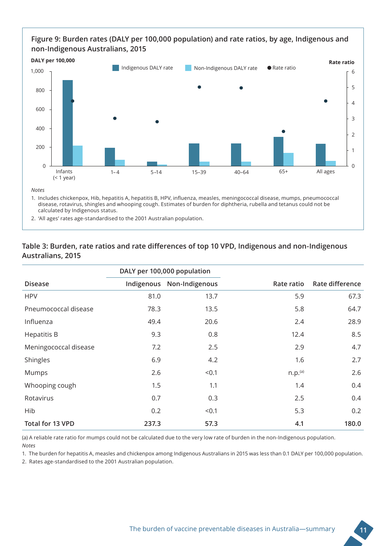#### **Figure 9: Burden rates (DALY per 100,000 population) and rate ratios, by age, Indigenous and non-Indigenous Australians, 2015**



2. 'All ages' rates age-standardised to the 2001 Australian population.

#### **Table 3: Burden, rate ratios and rate differences of top 10 VPD, Indigenous and non-Indigenous Australians, 2015**

|                       | DALY per 100,000 population |                |                     |                 |
|-----------------------|-----------------------------|----------------|---------------------|-----------------|
| <b>Disease</b>        | Indigenous                  | Non-Indigenous | Rate ratio          | Rate difference |
| <b>HPV</b>            | 81.0                        | 13.7           | 5.9                 | 67.3            |
| Pneumococcal disease  | 78.3                        | 13.5           | 5.8                 | 64.7            |
| Influenza             | 49.4                        | 20.6           | 2.4                 | 28.9            |
| <b>Hepatitis B</b>    | 9.3                         | 0.8            | 12.4                | 8.5             |
| Meningococcal disease | 7.2                         | 2.5            | 2.9                 | 4.7             |
| Shingles              | 6.9                         | 4.2            | 1.6                 | 2.7             |
| Mumps                 | 2.6                         | < 0.1          | n.p. <sup>(a)</sup> | 2.6             |
| Whooping cough        | 1.5                         | 1.1            | 1.4                 | 0.4             |
| Rotavirus             | 0.7                         | 0.3            | 2.5                 | 0.4             |
| Hib                   | 0.2                         | < 0.1          | 5.3                 | 0.2             |
| Total for 13 VPD      | 237.3                       | 57.3           | 4.1                 | 180.0           |

(a) A reliable rate ratio for mumps could not be calculated due to the very low rate of burden in the non-Indigenous population. *Notes* 

1. The burden for hepatitis A, measles and chickenpox among Indigenous Australians in 2015 was less than 0.1 DALY per 100,000 population.

2. Rates age-standardised to the 2001 Australian population.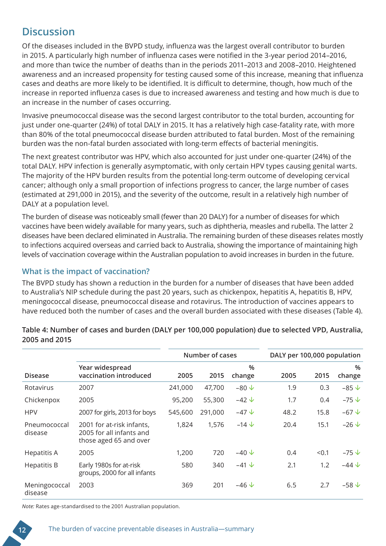### **Discussion**

Of the diseases included in the BVPD study, influenza was the largest overall contributor to burden in 2015. A particularly high number of influenza cases were notified in the 3-year period 2014–2016, and more than twice the number of deaths than in the periods 2011–2013 and 2008–2010. Heightened awareness and an increased propensity for testing caused some of this increase, meaning that influenza cases and deaths are more likely to be identified. It is difficult to determine, though, how much of the increase in reported influenza cases is due to increased awareness and testing and how much is due to an increase in the number of cases occurring.

Invasive pneumococcal disease was the second largest contributor to the total burden, accounting for just under one-quarter (24%) of total DALY in 2015. It has a relatively high case-fatality rate, with more than 80% of the total pneumococcal disease burden attributed to fatal burden. Most of the remaining burden was the non-fatal burden associated with long-term effects of bacterial meningitis.

The next greatest contributor was HPV, which also accounted for just under one-quarter (24%) of the total DALY. HPV infection is generally asymptomatic, with only certain HPV types causing genital warts. The majority of the HPV burden results from the potential long-term outcome of developing cervical cancer; although only a small proportion of infections progress to cancer, the large number of cases (estimated at 291,000 in 2015), and the severity of the outcome, result in a relatively high number of DALY at a population level.

The burden of disease was noticeably small (fewer than 20 DALY) for a number of diseases for which vaccines have been widely available for many years, such as diphtheria, measles and rubella. The latter 2 diseases have been declared eliminated in Australia. The remaining burden of these diseases relates mostly to infections acquired overseas and carried back to Australia, showing the importance of maintaining high levels of vaccination coverage within the Australian population to avoid increases in burden in the future.

#### **What is the impact of vaccination?**

The BVPD study has shown a reduction in the burden for a number of diseases that have been added to Australia's NIP schedule during the past 20 years, such as chickenpox, hepatitis A, hepatitis B, HPV, meningococcal disease, pneumococcal disease and rotavirus. The introduction of vaccines appears to have reduced both the number of cases and the overall burden associated with these diseases (Table 4).

|                          |                                                                                 |         | Number of cases |                       |      | DALY per 100,000 population |                          |
|--------------------------|---------------------------------------------------------------------------------|---------|-----------------|-----------------------|------|-----------------------------|--------------------------|
| <b>Disease</b>           | Year widespread<br>vaccination introduced                                       | 2005    | 2015            | $\%$<br>change        | 2005 | 2015                        | %<br>change              |
| Rotavirus                | 2007                                                                            | 241,000 | 47,700          | $-80 \sqrt$           | 1.9  | 0.3                         | $-85 \vee$               |
| Chickenpox               | 2005                                                                            | 95,200  | 55,300          | $-42 \sqrt{ }$        | 1.7  | 0.4                         | $-75 \n\vee$             |
| <b>HPV</b>               | 2007 for girls, 2013 for boys                                                   | 545,600 | 291,000         | $-47 \; \downarrow$   | 48.2 | 15.8                        | $-67 \text{V}$           |
| Pneumococcal<br>disease  | 2001 for at-risk infants,<br>2005 for all infants and<br>those aged 65 and over | 1,824   | 1,576           | $-14 \sqrt$           | 20.4 | 15.1                        | $-26\sqrt{ }$            |
| Hepatitis A              | 2005                                                                            | 1,200   | 720             | $-40 \sqrt$           | 0.4  | < 0.1                       | $-75 \text{ }\downarrow$ |
| <b>Hepatitis B</b>       | Early 1980s for at-risk<br>groups, 2000 for all infants                         | 580     | 340             | $-41 \nightharpoonup$ | 2.1  | 1.2                         | $-44 \sqrt$              |
| Meningococcal<br>disease | 2003                                                                            | 369     | 201             | $-46\sqrt{ }$         | 6.5  | 2.7                         | $-58 \text{ V}$          |

#### **Table 4: Number of cases and burden (DALY per 100,000 population) due to selected VPD, Australia, 2005 and 2015**

*Note:* Rates age-standardised to the 2001 Australian population.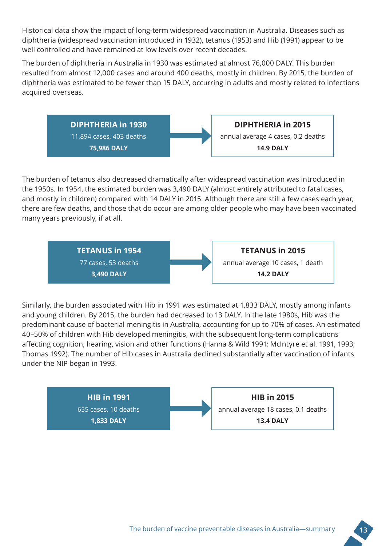Historical data show the impact of long-term widespread vaccination in Australia. Diseases such as diphtheria (widespread vaccination introduced in 1932), tetanus (1953) and Hib (1991) appear to be well controlled and have remained at low levels over recent decades.

The burden of diphtheria in Australia in 1930 was estimated at almost 76,000 DALY. This burden resulted from almost 12,000 cases and around 400 deaths, mostly in children. By 2015, the burden of diphtheria was estimated to be fewer than 15 DALY, occurring in adults and mostly related to infections acquired overseas.

> **DIPHTHERIA in 1930** 11,894 cases, 403 deaths **75,986 DALY**

annual average 4 cases, 0.2 deaths

**DIPHTHERIA in 2015**

**14.9 DALY**

The burden of tetanus also decreased dramatically after widespread vaccination was introduced in the 1950s. In 1954, the estimated burden was 3,490 DALY (almost entirely attributed to fatal cases, and mostly in children) compared with 14 DALY in 2015. Although there are still a few cases each year, there are few deaths, and those that do occur are among older people who may have been vaccinated many years previously, if at all.

> **TETANUS in 1954** 77 cases, 53 deaths **3,490 DALY**

**TETANUS in 2015** annual average 10 cases, 1 death **14.2 DALY**

Similarly, the burden associated with Hib in 1991 was estimated at 1,833 DALY, mostly among infants and young children. By 2015, the burden had decreased to 13 DALY. In the late 1980s, Hib was the predominant cause of bacterial meningitis in Australia, accounting for up to 70% of cases. An estimated 40–50% of children with Hib developed meningitis, with the subsequent long-term complications affecting cognition, hearing, vision and other functions (Hanna & Wild 1991; McIntyre et al. 1991, 1993; Thomas 1992). The number of Hib cases in Australia declined substantially after vaccination of infants under the NIP began in 1993.

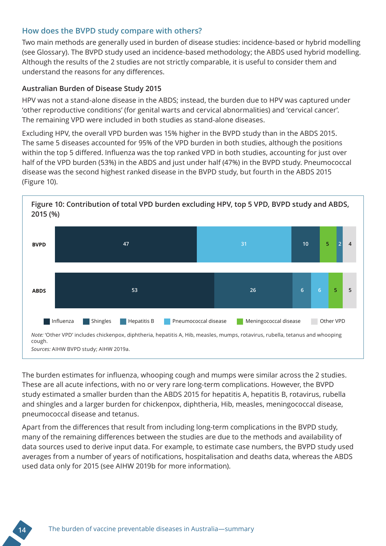#### **How does the BVPD study compare with others?**

Two main methods are generally used in burden of disease studies: incidence-based or hybrid modelling (see Glossary). The BVPD study used an incidence-based methodology; the ABDS used hybrid modelling. Although the results of the 2 studies are not strictly comparable, it is useful to consider them and understand the reasons for any differences.

#### **Australian Burden of Disease Study 2015**

HPV was not a stand-alone disease in the ABDS; instead, the burden due to HPV was captured under 'other reproductive conditions' (for genital warts and cervical abnormalities) and 'cervical cancer'. The remaining VPD were included in both studies as stand-alone diseases.

Excluding HPV, the overall VPD burden was 15% higher in the BVPD study than in the ABDS 2015. The same 5 diseases accounted for 95% of the VPD burden in both studies, although the positions within the top 5 differed. Influenza was the top ranked VPD in both studies, accounting for just over half of the VPD burden (53%) in the ABDS and just under half (47%) in the BVPD study. Pneumococcal disease was the second highest ranked disease in the BVPD study, but fourth in the ABDS 2015 (Figure 10).



**Figure 10: Contribution of total VPD burden excluding HPV, top 5 VPD, BVPD study and ABDS, 2015 (%)**

The burden estimates for influenza, whooping cough and mumps were similar across the 2 studies. These are all acute infections, with no or very rare long-term complications. However, the BVPD study estimated a smaller burden than the ABDS 2015 for hepatitis A, hepatitis B, rotavirus, rubella and shingles and a larger burden for chickenpox, diphtheria, Hib, measles, meningococcal disease, pneumococcal disease and tetanus.

Apart from the differences that result from including long-term complications in the BVPD study, many of the remaining differences between the studies are due to the methods and availability of data sources used to derive input data. For example, to estimate case numbers, the BVPD study used averages from a number of years of notifications, hospitalisation and deaths data, whereas the ABDS used data only for 2015 (see AIHW 2019b for more information).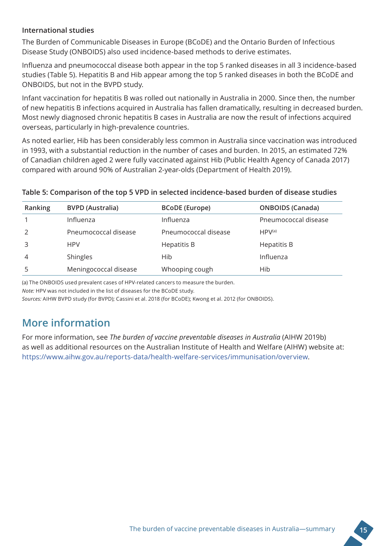#### **International studies**

The Burden of Communicable Diseases in Europe (BCoDE) and the Ontario Burden of Infectious Disease Study (ONBOIDS) also used incidence-based methods to derive estimates.

Influenza and pneumococcal disease both appear in the top 5 ranked diseases in all 3 incidence-based studies (Table 5). Hepatitis B and Hib appear among the top 5 ranked diseases in both the BCoDE and ONBOIDS, but not in the BVPD study.

Infant vaccination for hepatitis B was rolled out nationally in Australia in 2000. Since then, the number of new hepatitis B infections acquired in Australia has fallen dramatically, resulting in decreased burden. Most newly diagnosed chronic hepatitis B cases in Australia are now the result of infections acquired overseas, particularly in high-prevalence countries.

As noted earlier, Hib has been considerably less common in Australia since vaccination was introduced in 1993, with a substantial reduction in the number of cases and burden. In 2015, an estimated 72% of Canadian children aged 2 were fully vaccinated against Hib (Public Health Agency of Canada 2017) compared with around 90% of Australian 2-year-olds (Department of Health 2019).

#### **Table 5: Comparison of the top 5 VPD in selected incidence-based burden of disease studies**

| Ranking | <b>BVPD (Australia)</b> | <b>BCoDE</b> (Europe) | <b>ONBOIDS (Canada)</b> |
|---------|-------------------------|-----------------------|-------------------------|
|         | Influenza               | Influenza             | Pneumococcal disease    |
|         | Pneumococcal disease    | Pneumococcal disease  | $HPV^{(a)}$             |
|         | <b>HPV</b>              | Hepatitis B           | <b>Hepatitis B</b>      |
| 4       | Shingles                | Hib                   | Influenza               |
|         | Meningococcal disease   | Whooping cough        | Hib                     |

(a) The ONBOIDS used prevalent cases of HPV-related cancers to measure the burden.

*Note:* HPV was not included in the list of diseases for the BCoDE study.

*Sources:* AIHW BVPD study (for BVPD); Cassini et al. 2018 (for BCoDE); Kwong et al. 2012 (for ONBOIDS).

### **More information**

For more information, see *The burden of vaccine preventable diseases in Australia* (AIHW 2019b) as well as additional resources on the Australian Institute of Health and Welfare (AIHW) website at: https://www.aihw.gov.au/reports-data/health-welfare-services/immunisation/overview.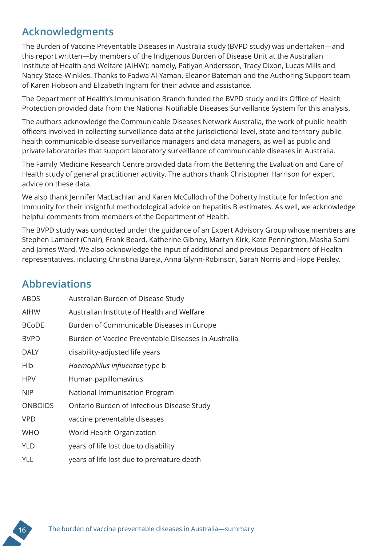### **Acknowledgments**

The Burden of Vaccine Preventable Diseases in Australia study (BVPD study) was undertaken—and this report written—by members of the Indigenous Burden of Disease Unit at the Australian Institute of Health and Welfare (AIHW); namely, Patiyan Andersson, Tracy Dixon, Lucas Mills and Nancy Stace-Winkles. Thanks to Fadwa Al-Yaman, Eleanor Bateman and the Authoring Support team of Karen Hobson and Elizabeth Ingram for their advice and assistance.

The Department of Health's Immunisation Branch funded the BVPD study and its Office of Health Protection provided data from the National Notifiable Diseases Surveillance System for this analysis.

The authors acknowledge the Communicable Diseases Network Australia, the work of public health officers involved in collecting surveillance data at the jurisdictional level, state and territory public health communicable disease surveillance managers and data managers, as well as public and private laboratories that support laboratory surveillance of communicable diseases in Australia.

The Family Medicine Research Centre provided data from the Bettering the Evaluation and Care of Health study of general practitioner activity. The authors thank Christopher Harrison for expert advice on these data.

We also thank Jennifer MacLachlan and Karen McCulloch of the Doherty Institute for Infection and Immunity for their insightful methodological advice on hepatitis B estimates. As well, we acknowledge helpful comments from members of the Department of Health.

The BVPD study was conducted under the guidance of an Expert Advisory Group whose members are Stephen Lambert (Chair), Frank Beard, Katherine Gibney, Martyn Kirk, Kate Pennington, Masha Somi and James Ward. We also acknowledge the input of additional and previous Department of Health representatives, including Christina Bareja, Anna Glynn-Robinson, Sarah Norris and Hope Peisley.

# **Abbreviations**

| ABDS           | Australian Burden of Disease Study                  |
|----------------|-----------------------------------------------------|
| AIHW           | Australian Institute of Health and Welfare          |
| <b>BCoDE</b>   | Burden of Communicable Diseases in Europe           |
| <b>BVPD</b>    | Burden of Vaccine Preventable Diseases in Australia |
| <b>DALY</b>    | disability-adjusted life years                      |
| Hib            | Haemophilus influenzae type b                       |
| <b>HPV</b>     | Human papillomavirus                                |
| <b>NIP</b>     | National Immunisation Program                       |
| <b>ONBOIDS</b> | Ontario Burden of Infectious Disease Study          |
| <b>VPD</b>     | vaccine preventable diseases                        |
| <b>WHO</b>     | World Health Organization                           |
| <b>YLD</b>     | years of life lost due to disability                |
| YLL            | years of life lost due to premature death           |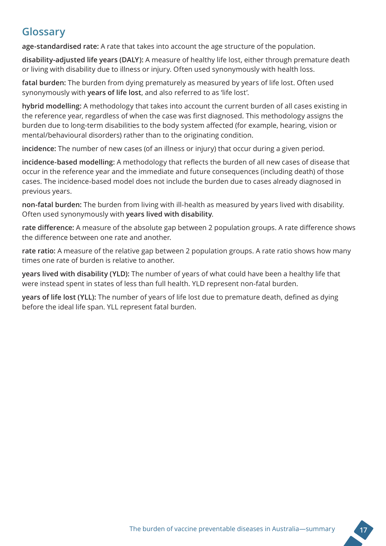### **Glossary**

**age-standardised rate:** A rate that takes into account the age structure of the population.

**disability-adjusted life years (DALY):** A measure of healthy life lost, either through premature death or living with disability due to illness or injury. Often used synonymously with health loss.

**fatal burden:** The burden from dying prematurely as measured by years of life lost. Often used synonymously with **years of life lost**, and also referred to as 'life lost'.

**hybrid modelling:** A methodology that takes into account the current burden of all cases existing in the reference year, regardless of when the case was first diagnosed. This methodology assigns the burden due to long-term disabilities to the body system affected (for example, hearing, vision or mental/behavioural disorders) rather than to the originating condition.

**incidence:** The number of new cases (of an illness or injury) that occur during a given period.

**incidence-based modelling:** A methodology that reflects the burden of all new cases of disease that occur in the reference year and the immediate and future consequences (including death) of those cases. The incidence-based model does not include the burden due to cases already diagnosed in previous years.

**non-fatal burden:** The burden from living with ill-health as measured by years lived with disability. Often used synonymously with **years lived with disability**.

**rate difference:** A measure of the absolute gap between 2 population groups. A rate difference shows the difference between one rate and another.

**rate ratio:** A measure of the relative gap between 2 population groups. A rate ratio shows how many times one rate of burden is relative to another.

**years lived with disability (YLD):** The number of years of what could have been a healthy life that were instead spent in states of less than full health. YLD represent non-fatal burden.

**years of life lost (YLL):** The number of years of life lost due to premature death, defined as dying before the ideal life span. YLL represent fatal burden.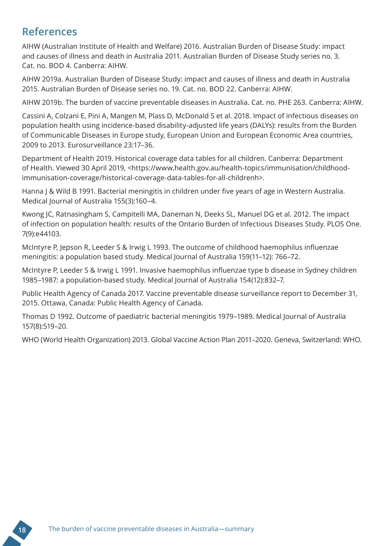### **References**

AIHW (Australian Institute of Health and Welfare) 2016. Australian Burden of Disease Study: impact and causes of illness and death in Australia 2011. Australian Burden of Disease Study series no. 3. Cat. no. BOD 4. Canberra: AIHW.

AIHW 2019a. Australian Burden of Disease Study: impact and causes of illness and death in Australia 2015. Australian Burden of Disease series no. 19. Cat. no. BOD 22. Canberra: AIHW.

AIHW 2019b. The burden of vaccine preventable diseases in Australia. Cat. no. PHE 263. Canberra: AIHW.

Cassini A, Colzani E, Pini A, Mangen M, Plass D, McDonald S et al. 2018. Impact of infectious diseases on population health using incidence-based disability-adjusted life years (DALYs): results from the Burden of Communicable Diseases in Europe study, European Union and European Economic Area countries, 2009 to 2013. Eurosurveillance 23:17–36.

Department of Health 2019. Historical coverage data tables for all children. Canberra: Department of Health. Viewed 30 April 2019, <https://www.health.gov.au/health-topics/immunisation/childhoodimmunisation-coverage/historical-coverage-data-tables-for-all-childrenh>.

Hanna J & Wild B 1991. Bacterial meningitis in children under five years of age in Western Australia. Medical Journal of Australia 155(3):160–4.

Kwong JC, Ratnasingham S, Campitelli MA, Daneman N, Deeks SL, Manuel DG et al. 2012. The impact of infection on population health: results of the Ontario Burden of Infectious Diseases Study. PLOS One. 7(9):e44103.

McIntyre P, Jepson R, Leeder S & Irwig L 1993. The outcome of childhood haemophilus influenzae meningitis: a population based study. Medical Journal of Australia 159(11–12): 766–72.

McIntyre P, Leeder S & Irwig L 1991. Invasive haemophilus influenzae type b disease in Sydney children 1985–1987: a population-based study. Medical Journal of Australia 154(12):832–7.

Public Health Agency of Canada 2017. Vaccine preventable disease surveillance report to December 31, 2015. Ottawa, Canada: Public Health Agency of Canada.

Thomas D 1992. Outcome of paediatric bacterial meningitis 1979–1989. Medical Journal of Australia 157(8):519–20.

WHO (World Health Organization) 2013. Global Vaccine Action Plan 2011–2020. Geneva, Switzerland: WHO.